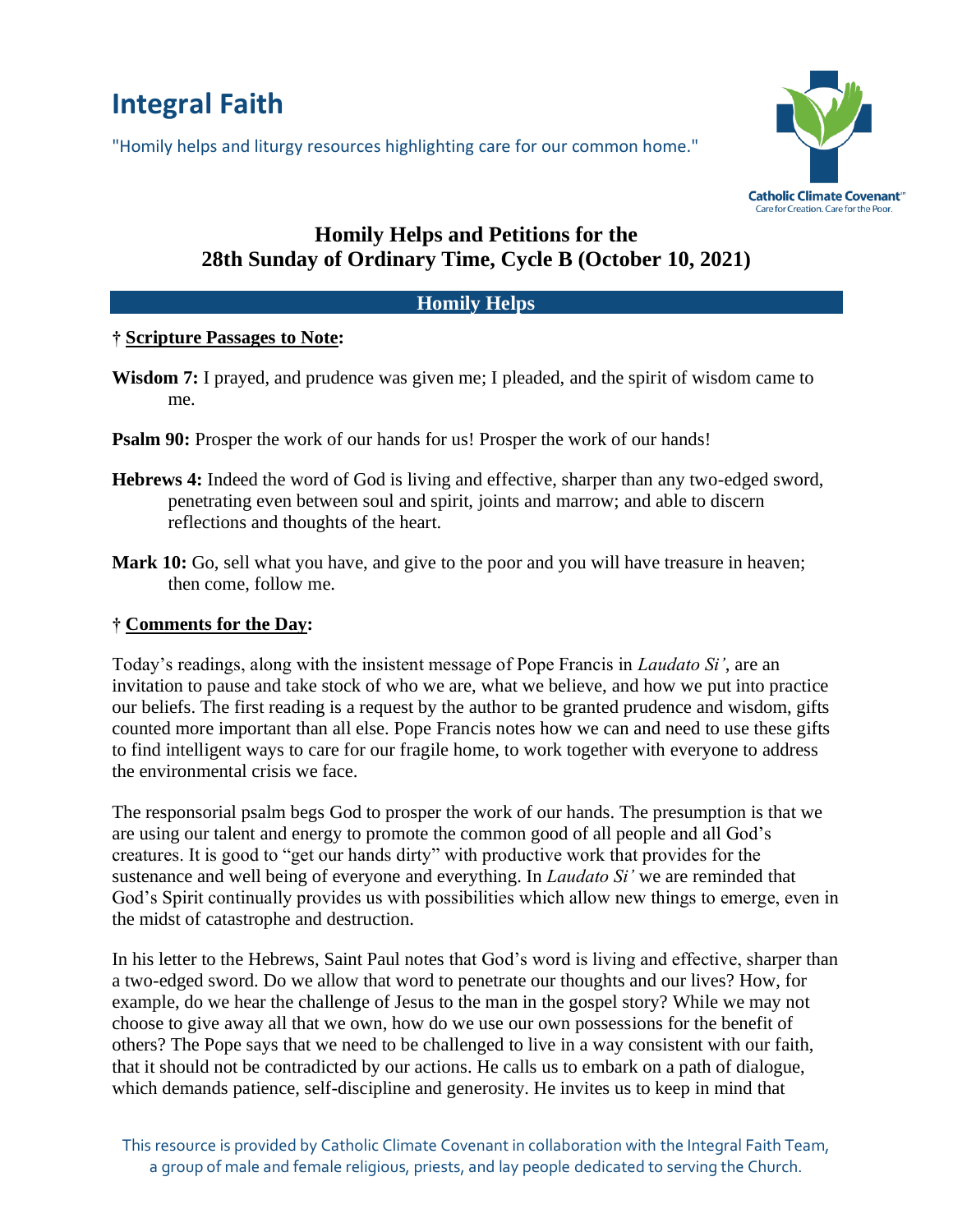# **Integral Faith**

"Homily helps and liturgy resources highlighting care for our common home."



## **Homily Helps and Petitions for the 28th Sunday of Ordinary Time, Cycle B (October 10, 2021)**

#### **Homily Helps**

#### **† Scripture Passages to Note:**

- **Wisdom 7:** I prayed, and prudence was given me; I pleaded, and the spirit of wisdom came to me.
- **Psalm 90:** Prosper the work of our hands for us! Prosper the work of our hands!
- **Hebrews 4:** Indeed the word of God is living and effective, sharper than any two-edged sword, penetrating even between soul and spirit, joints and marrow; and able to discern reflections and thoughts of the heart.
- **Mark 10:** Go, sell what you have, and give to the poor and you will have treasure in heaven; then come, follow me.

### **† Comments for the Day:**

Today's readings, along with the insistent message of Pope Francis in *Laudato Si'*, are an invitation to pause and take stock of who we are, what we believe, and how we put into practice our beliefs. The first reading is a request by the author to be granted prudence and wisdom, gifts counted more important than all else. Pope Francis notes how we can and need to use these gifts to find intelligent ways to care for our fragile home, to work together with everyone to address the environmental crisis we face.

The responsorial psalm begs God to prosper the work of our hands. The presumption is that we are using our talent and energy to promote the common good of all people and all God's creatures. It is good to "get our hands dirty" with productive work that provides for the sustenance and well being of everyone and everything. In *Laudato Si'* we are reminded that God's Spirit continually provides us with possibilities which allow new things to emerge, even in the midst of catastrophe and destruction.

In his letter to the Hebrews, Saint Paul notes that God's word is living and effective, sharper than a two-edged sword. Do we allow that word to penetrate our thoughts and our lives? How, for example, do we hear the challenge of Jesus to the man in the gospel story? While we may not choose to give away all that we own, how do we use our own possessions for the benefit of others? The Pope says that we need to be challenged to live in a way consistent with our faith, that it should not be contradicted by our actions. He calls us to embark on a path of dialogue, which demands patience, self-discipline and generosity. He invites us to keep in mind that